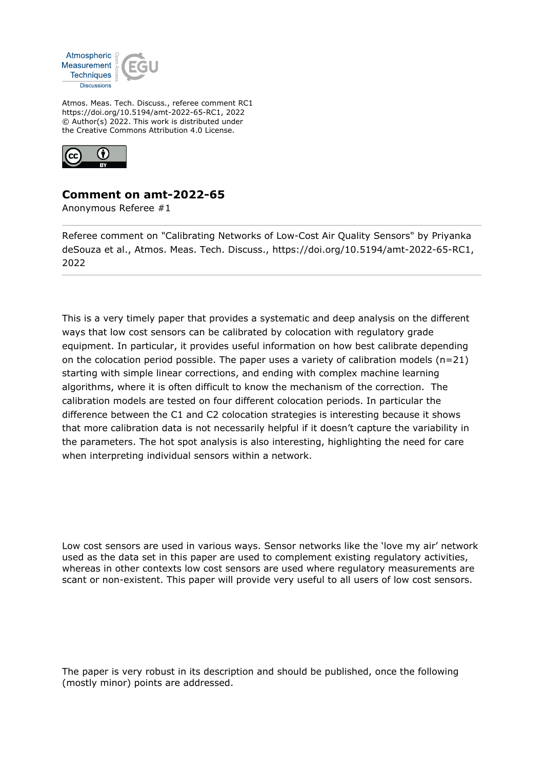

Atmos. Meas. Tech. Discuss., referee comment RC1 https://doi.org/10.5194/amt-2022-65-RC1, 2022 © Author(s) 2022. This work is distributed under the Creative Commons Attribution 4.0 License.



## **Comment on amt-2022-65**

Anonymous Referee #1

Referee comment on "Calibrating Networks of Low-Cost Air Quality Sensors" by Priyanka deSouza et al., Atmos. Meas. Tech. Discuss., https://doi.org/10.5194/amt-2022-65-RC1, 2022

This is a very timely paper that provides a systematic and deep analysis on the different ways that low cost sensors can be calibrated by colocation with regulatory grade equipment. In particular, it provides useful information on how best calibrate depending on the colocation period possible. The paper uses a variety of calibration models  $(n=21)$ starting with simple linear corrections, and ending with complex machine learning algorithms, where it is often difficult to know the mechanism of the correction. The calibration models are tested on four different colocation periods. In particular the difference between the C1 and C2 colocation strategies is interesting because it shows that more calibration data is not necessarily helpful if it doesn't capture the variability in the parameters. The hot spot analysis is also interesting, highlighting the need for care when interpreting individual sensors within a network.

Low cost sensors are used in various ways. Sensor networks like the 'love my air' network used as the data set in this paper are used to complement existing regulatory activities, whereas in other contexts low cost sensors are used where regulatory measurements are scant or non-existent. This paper will provide very useful to all users of low cost sensors.

The paper is very robust in its description and should be published, once the following (mostly minor) points are addressed.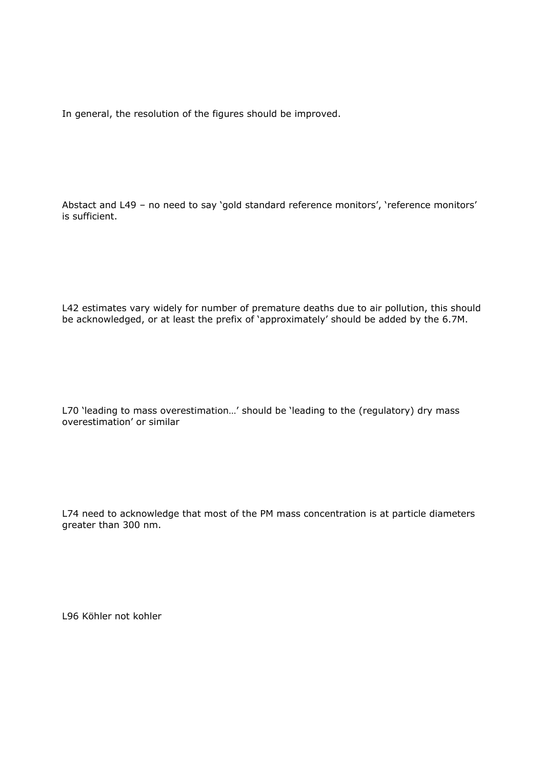In general, the resolution of the figures should be improved.

Abstact and L49 – no need to say 'gold standard reference monitors', 'reference monitors' is sufficient.

L42 estimates vary widely for number of premature deaths due to air pollution, this should be acknowledged, or at least the prefix of 'approximately' should be added by the 6.7M.

L70 'leading to mass overestimation…' should be 'leading to the (regulatory) dry mass overestimation' or similar

L74 need to acknowledge that most of the PM mass concentration is at particle diameters greater than 300 nm.

L96 Köhler not kohler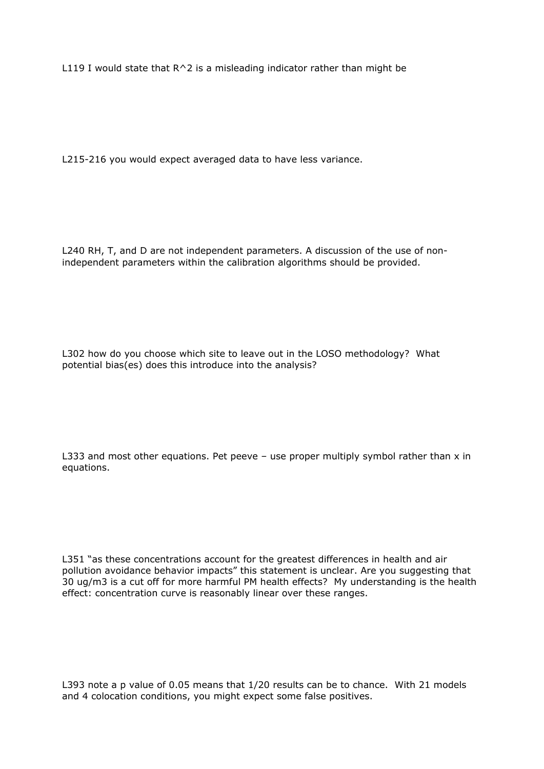L119 I would state that  $R^2$  is a misleading indicator rather than might be

L215-216 you would expect averaged data to have less variance.

L240 RH, T, and D are not independent parameters. A discussion of the use of nonindependent parameters within the calibration algorithms should be provided.

L302 how do you choose which site to leave out in the LOSO methodology? What potential bias(es) does this introduce into the analysis?

L333 and most other equations. Pet peeve  $-$  use proper multiply symbol rather than  $x$  in equations.

L351 "as these concentrations account for the greatest differences in health and air pollution avoidance behavior impacts" this statement is unclear. Are you suggesting that 30 ug/m3 is a cut off for more harmful PM health effects? My understanding is the health effect: concentration curve is reasonably linear over these ranges.

L393 note a p value of 0.05 means that 1/20 results can be to chance. With 21 models and 4 colocation conditions, you might expect some false positives.